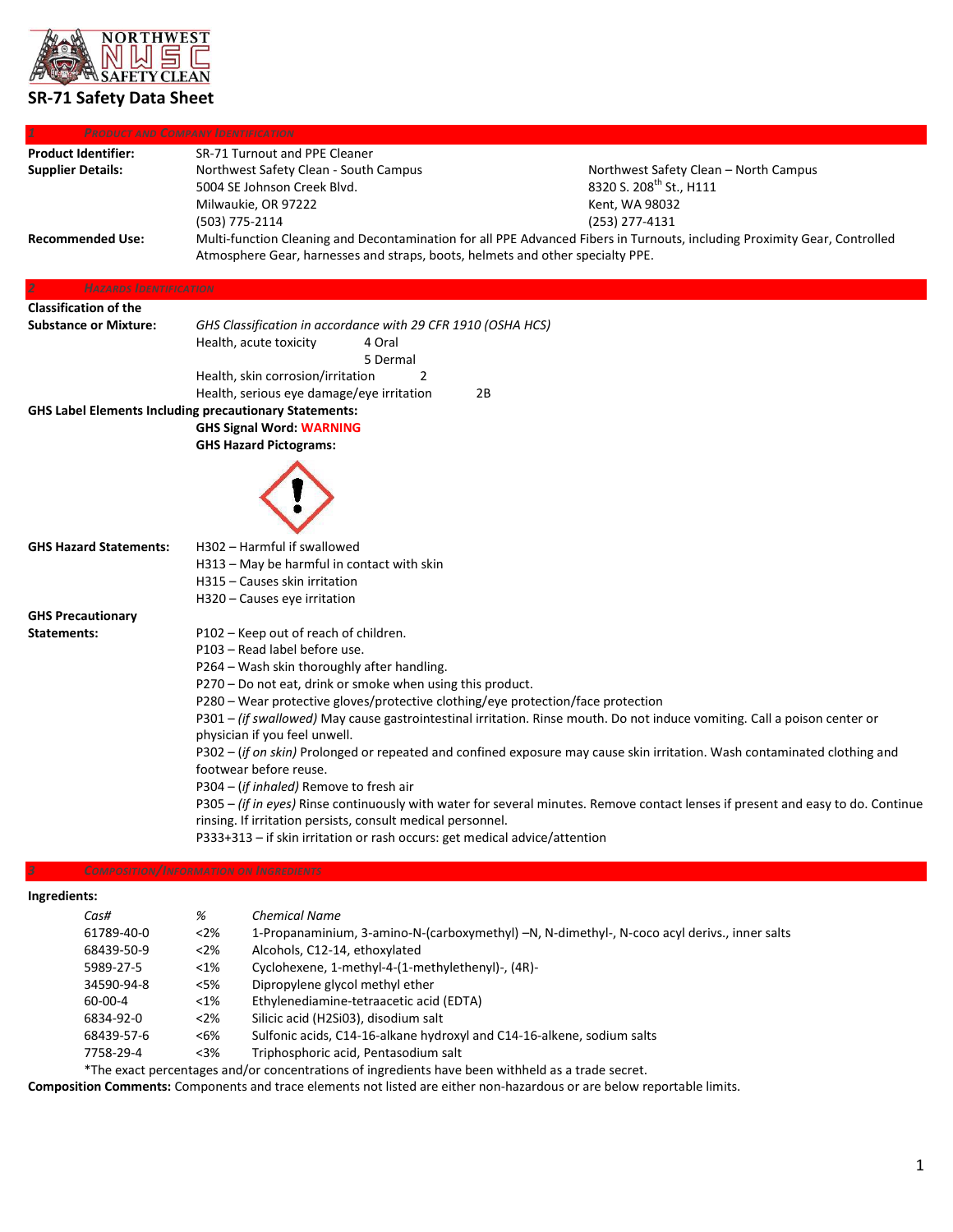

# **SR-71 Safety Data Sheet**

|                               | <b>PRODUCT AND COMPANY IDENTIFICATION</b>                                                                                        |                                                                                                                           |  |
|-------------------------------|----------------------------------------------------------------------------------------------------------------------------------|---------------------------------------------------------------------------------------------------------------------------|--|
| <b>Product Identifier:</b>    | SR-71 Turnout and PPE Cleaner                                                                                                    |                                                                                                                           |  |
| <b>Supplier Details:</b>      | Northwest Safety Clean - South Campus                                                                                            | Northwest Safety Clean - North Campus                                                                                     |  |
|                               | 5004 SE Johnson Creek Blvd.                                                                                                      | 8320 S. 208 <sup>th</sup> St., H111                                                                                       |  |
|                               | Milwaukie, OR 97222                                                                                                              | Kent, WA 98032                                                                                                            |  |
|                               | (503) 775-2114                                                                                                                   | (253) 277-4131                                                                                                            |  |
| <b>Recommended Use:</b>       |                                                                                                                                  | Multi-function Cleaning and Decontamination for all PPE Advanced Fibers in Turnouts, including Proximity Gear, Controlled |  |
|                               | Atmosphere Gear, harnesses and straps, boots, helmets and other specialty PPE.                                                   |                                                                                                                           |  |
| <b>HAZARDS IDENTIFICATION</b> |                                                                                                                                  |                                                                                                                           |  |
| <b>Classification of the</b>  |                                                                                                                                  |                                                                                                                           |  |
| <b>Substance or Mixture:</b>  | GHS Classification in accordance with 29 CFR 1910 (OSHA HCS)                                                                     |                                                                                                                           |  |
|                               | Health, acute toxicity<br>4 Oral                                                                                                 |                                                                                                                           |  |
|                               | 5 Dermal                                                                                                                         |                                                                                                                           |  |
|                               | Health, skin corrosion/irritation<br>2                                                                                           |                                                                                                                           |  |
|                               | Health, serious eye damage/eye irritation                                                                                        | 2B                                                                                                                        |  |
|                               | <b>GHS Label Elements Including precautionary Statements:</b>                                                                    |                                                                                                                           |  |
|                               | <b>GHS Signal Word: WARNING</b>                                                                                                  |                                                                                                                           |  |
|                               | <b>GHS Hazard Pictograms:</b>                                                                                                    |                                                                                                                           |  |
|                               |                                                                                                                                  |                                                                                                                           |  |
|                               |                                                                                                                                  |                                                                                                                           |  |
| <b>GHS Hazard Statements:</b> | H302 - Harmful if swallowed                                                                                                      |                                                                                                                           |  |
|                               | H313 – May be harmful in contact with skin                                                                                       |                                                                                                                           |  |
|                               | H315 - Causes skin irritation                                                                                                    |                                                                                                                           |  |
|                               | H320 - Causes eye irritation                                                                                                     |                                                                                                                           |  |
| <b>GHS Precautionary</b>      |                                                                                                                                  |                                                                                                                           |  |
| Statements:                   | P102 – Keep out of reach of children.                                                                                            |                                                                                                                           |  |
|                               | P103 - Read label before use.                                                                                                    |                                                                                                                           |  |
|                               | P264 - Wash skin thoroughly after handling.                                                                                      |                                                                                                                           |  |
|                               | P270 - Do not eat, drink or smoke when using this product.                                                                       |                                                                                                                           |  |
|                               | P280 - Wear protective gloves/protective clothing/eye protection/face protection                                                 |                                                                                                                           |  |
|                               | P301 - (if swallowed) May cause gastrointestinal irritation. Rinse mouth. Do not induce vomiting. Call a poison center or        |                                                                                                                           |  |
|                               | physician if you feel unwell.                                                                                                    |                                                                                                                           |  |
|                               | P302 – (if on skin) Prolonged or repeated and confined exposure may cause skin irritation. Wash contaminated clothing and        |                                                                                                                           |  |
|                               | footwear before reuse.                                                                                                           |                                                                                                                           |  |
|                               | P304 - (if inhaled) Remove to fresh air                                                                                          |                                                                                                                           |  |
|                               | P305 - (if in eyes) Rinse continuously with water for several minutes. Remove contact lenses if present and easy to do. Continue |                                                                                                                           |  |
|                               | rinsing. If irritation persists, consult medical personnel.                                                                      |                                                                                                                           |  |
|                               | P333+313 – if skin irritation or rash occurs: get medical advice/attention                                                       |                                                                                                                           |  |
|                               | <b>COMPOSITION/INFORMATION ON INGREDIENTS</b>                                                                                    |                                                                                                                           |  |
| Ingredients:                  |                                                                                                                                  |                                                                                                                           |  |
| Cas#                          | <b>Chemical Name</b><br>%                                                                                                        |                                                                                                                           |  |
| $61700 \text{ A}00$           | 220/                                                                                                                             | 1 Deparamppinium 2 approvadus Martini MALA dimethyl Magazine deviation innovative                                         |  |

| 61789-40-0 | $<$ 2% | 1-Propanaminium, 3-amino-N-(carboxymethyl) -N, N-dimethyl-, N-coco acyl derivs., inner salts |
|------------|--------|----------------------------------------------------------------------------------------------|
| 68439-50-9 | $<2\%$ | Alcohols, C12-14, ethoxylated                                                                |
| 5989-27-5  | $<$ 1% | Cyclohexene, 1-methyl-4-(1-methylethenyl)-, (4R)-                                            |
| 34590-94-8 | <5%    | Dipropylene glycol methyl ether                                                              |
| 60-00-4    | $<$ 1% | Ethylenediamine-tetraacetic acid (EDTA)                                                      |
| 6834-92-0  | $<$ 2% | Silicic acid (H2Si03), disodium salt                                                         |
| 68439-57-6 | <6%    | Sulfonic acids, C14-16-alkane hydroxyl and C14-16-alkene, sodium salts                       |
| 7758-29-4  | $<3\%$ | Triphosphoric acid, Pentasodium salt                                                         |
|            |        |                                                                                              |

\*The exact percentages and/or concentrations of ingredients have been withheld as a trade secret.

**Composition Comments:** Components and trace elements not listed are either non-hazardous or are below reportable limits.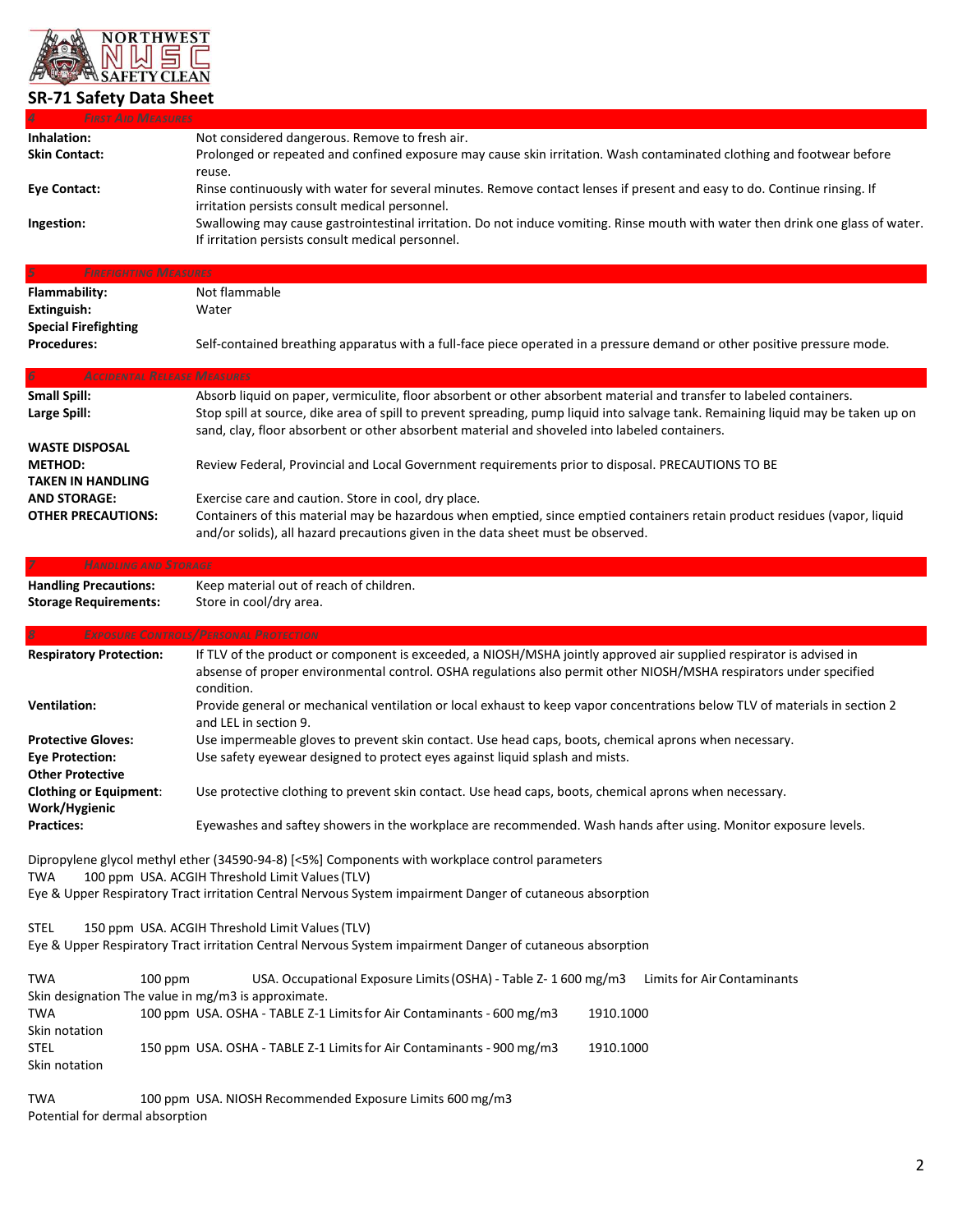

<span id="page-1-0"></span>

| <b>FIRST AID MEASURES</b>       |                                                                                                                                   |
|---------------------------------|-----------------------------------------------------------------------------------------------------------------------------------|
| Inhalation:                     | Not considered dangerous. Remove to fresh air.                                                                                    |
| <b>Skin Contact:</b>            | Prolonged or repeated and confined exposure may cause skin irritation. Wash contaminated clothing and footwear before             |
|                                 | reuse.                                                                                                                            |
| <b>Eye Contact:</b>             | Rinse continuously with water for several minutes. Remove contact lenses if present and easy to do. Continue rinsing. If          |
|                                 | irritation persists consult medical personnel.                                                                                    |
| Ingestion:                      | Swallowing may cause gastrointestinal irritation. Do not induce vomiting. Rinse mouth with water then drink one glass of water.   |
|                                 |                                                                                                                                   |
|                                 | If irritation persists consult medical personnel.                                                                                 |
| 5                               | <b>FIREFIGHTING MEASURES</b>                                                                                                      |
|                                 |                                                                                                                                   |
| <b>Flammability:</b>            | Not flammable                                                                                                                     |
| Extinguish:                     | Water                                                                                                                             |
| <b>Special Firefighting</b>     |                                                                                                                                   |
| <b>Procedures:</b>              | Self-contained breathing apparatus with a full-face piece operated in a pressure demand or other positive pressure mode.          |
|                                 |                                                                                                                                   |
|                                 | <b>ACCIDENTAL RELEASE MEASURES</b>                                                                                                |
| <b>Small Spill:</b>             | Absorb liquid on paper, vermiculite, floor absorbent or other absorbent material and transfer to labeled containers.              |
| Large Spill:                    | Stop spill at source, dike area of spill to prevent spreading, pump liquid into salvage tank. Remaining liquid may be taken up on |
|                                 | sand, clay, floor absorbent or other absorbent material and shoveled into labeled containers.                                     |
| <b>WASTE DISPOSAL</b>           |                                                                                                                                   |
| <b>METHOD:</b>                  | Review Federal, Provincial and Local Government requirements prior to disposal. PRECAUTIONS TO BE                                 |
| <b>TAKEN IN HANDLING</b>        |                                                                                                                                   |
| <b>AND STORAGE:</b>             | Exercise care and caution. Store in cool, dry place.                                                                              |
| <b>OTHER PRECAUTIONS:</b>       | Containers of this material may be hazardous when emptied, since emptied containers retain product residues (vapor, liquid        |
|                                 |                                                                                                                                   |
|                                 | and/or solids), all hazard precautions given in the data sheet must be observed.                                                  |
|                                 | <b>HANDLING AND STORAGE</b>                                                                                                       |
|                                 |                                                                                                                                   |
| <b>Handling Precautions:</b>    | Keep material out of reach of children.                                                                                           |
| <b>Storage Requirements:</b>    | Store in cool/dry area.                                                                                                           |
|                                 |                                                                                                                                   |
|                                 |                                                                                                                                   |
|                                 | <b>EXPOSURE CONTROLS/PERSONAL PROTECTION</b>                                                                                      |
| <b>Respiratory Protection:</b>  | If TLV of the product or component is exceeded, a NIOSH/MSHA jointly approved air supplied respirator is advised in               |
|                                 | absense of proper environmental control. OSHA regulations also permit other NIOSH/MSHA respirators under specified                |
|                                 | condition.                                                                                                                        |
| <b>Ventilation:</b>             | Provide general or mechanical ventilation or local exhaust to keep vapor concentrations below TLV of materials in section 2       |
|                                 | and LEL in section 9.                                                                                                             |
| <b>Protective Gloves:</b>       |                                                                                                                                   |
|                                 | Use impermeable gloves to prevent skin contact. Use head caps, boots, chemical aprons when necessary.                             |
| <b>Eye Protection:</b>          | Use safety eyewear designed to protect eyes against liquid splash and mists.                                                      |
| <b>Other Protective</b>         |                                                                                                                                   |
| <b>Clothing or Equipment:</b>   | Use protective clothing to prevent skin contact. Use head caps, boots, chemical aprons when necessary.                            |
| Work/Hygienic                   |                                                                                                                                   |
| <b>Practices:</b>               | Eyewashes and saftey showers in the workplace are recommended. Wash hands after using. Monitor exposure levels.                   |
|                                 |                                                                                                                                   |
|                                 | Dipropylene glycol methyl ether (34590-94-8) [<5%] Components with workplace control parameters                                   |
| <b>TWA</b>                      | 100 ppm USA. ACGIH Threshold Limit Values (TLV)                                                                                   |
|                                 | Eye & Upper Respiratory Tract irritation Central Nervous System impairment Danger of cutaneous absorption                         |
|                                 |                                                                                                                                   |
| <b>STEL</b>                     | 150 ppm USA. ACGIH Threshold Limit Values (TLV)                                                                                   |
|                                 | Eye & Upper Respiratory Tract irritation Central Nervous System impairment Danger of cutaneous absorption                         |
|                                 |                                                                                                                                   |
|                                 | USA. Occupational Exposure Limits (OSHA) - Table Z- 1 600 mg/m3<br>$100$ ppm<br>Limits for Air Contaminants                       |
| <b>TWA</b>                      | Skin designation The value in mg/m3 is approximate.                                                                               |
| TWA                             | 100 ppm USA. OSHA - TABLE Z-1 Limits for Air Contaminants - 600 mg/m3<br>1910.1000                                                |
| Skin notation                   |                                                                                                                                   |
| STEL                            | 150 ppm USA. OSHA - TABLE Z-1 Limits for Air Contaminants - 900 mg/m3<br>1910.1000                                                |
| Skin notation                   |                                                                                                                                   |
|                                 |                                                                                                                                   |
| <b>TWA</b>                      |                                                                                                                                   |
| Potential for dermal absorption | 100 ppm USA. NIOSH Recommended Exposure Limits 600 mg/m3                                                                          |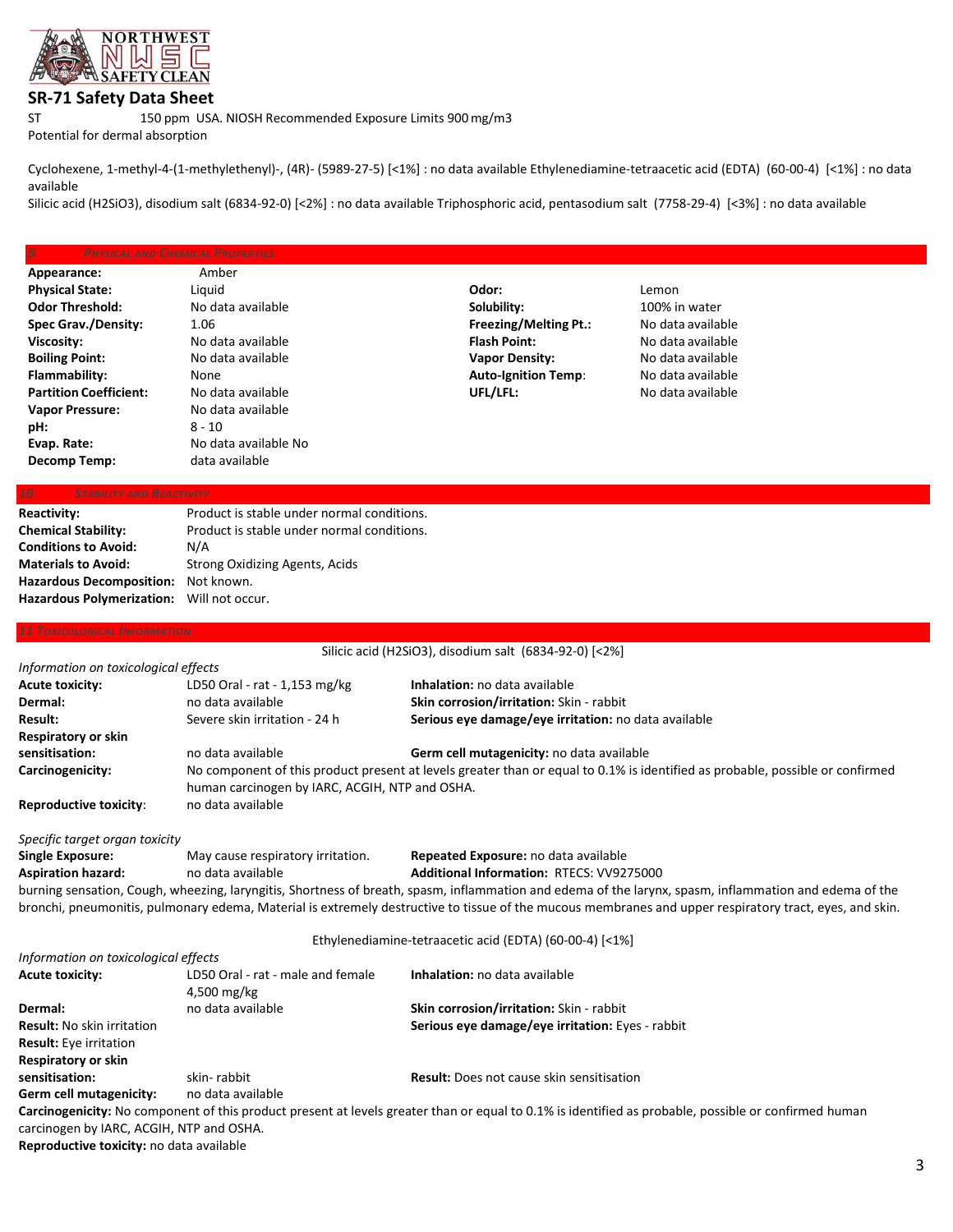

## **SR-71 Safety Data Sheet**

ST 150 ppm USA. NIOSH Recommended Exposure Limits 900mg/m3

Potential for dermal absorption

Cyclohexene, 1-methyl-4-(1-methylethenyl)-, (4R)- (5989-27-5) [<1%] : no data available Ethylenediamine-tetraacetic acid (EDTA) (60-00-4) [<1%] : no data available

Silicic acid (H2SiO3), disodium salt (6834-92-0) [<2%] : no data available Triphosphoric acid, pentasodium salt (7758-29-4) [<3%] : no data available

|                               | <b>PHYSICAL AND CHEMICAL PROPERTIES</b> |                              |                   |  |
|-------------------------------|-----------------------------------------|------------------------------|-------------------|--|
| Appearance:                   | Amber                                   |                              |                   |  |
| <b>Physical State:</b>        | Liguid                                  | Odor:                        | Lemon             |  |
| <b>Odor Threshold:</b>        | No data available                       | Solubility:                  | 100% in water     |  |
| <b>Spec Grav./Density:</b>    | 1.06                                    | <b>Freezing/Melting Pt.:</b> | No data available |  |
| Viscosity:                    | No data available                       | <b>Flash Point:</b>          | No data available |  |
| <b>Boiling Point:</b>         | No data available                       | <b>Vapor Density:</b>        | No data available |  |
| Flammability:                 | None                                    | <b>Auto-Ignition Temp:</b>   | No data available |  |
| <b>Partition Coefficient:</b> | No data available                       | UFL/LFL:                     | No data available |  |
| <b>Vapor Pressure:</b>        | No data available                       |                              |                   |  |
| pH:                           | $8 - 10$                                |                              |                   |  |
| Evap. Rate:                   | No data available No                    |                              |                   |  |
| Decomp Temp:                  | data available                          |                              |                   |  |
|                               |                                         |                              |                   |  |

| Reactivity:                               | Product is stable under normal conditions. |
|-------------------------------------------|--------------------------------------------|
| <b>Chemical Stability:</b>                | Product is stable under normal conditions. |
| <b>Conditions to Avoid:</b>               | N/A                                        |
| <b>Materials to Avoid:</b>                | Strong Oxidizing Agents, Acids             |
| Hazardous Decomposition: Not known.       |                                            |
| Hazardous Polymerization: Will not occur. |                                            |
|                                           |                                            |

## Silicic acid (H2SiO3), disodium salt (6834-92-0) [<2%] *Information on toxicological effects* **Acute toxicity:** LD50 Oral - rat - 1,153 mg/kg **Inhalation:** no data available **Dermal:** no data available **Skin corrosion/irritation:** Skin - rabbit **Result:** Severe skin irritation - 24 h **Serious eye damage/eye irritation:** no data available **Respiratory or skin sensitisation:** no data available **Germ cell mutagenicity:** no data available **Carcinogenicity:** No component of this product present at levels greater than or equal to 0.1% is identified as probable, possible or confirmed human carcinogen by IARC, ACGIH, NTP and OSHA. **Reproductive toxicity**: no data available *Specific target organ toxicity*  **Single Exposure:** May cause respiratory irritation. **Repeated Exposure:** no data available **Aspiration hazard:** no data available **Additional Information:** RTECS: VV9275000 burning sensation, Cough, wheezing, laryngitis, Shortness of breath, spasm, inflammation and edema of the larynx, spasm, inflammation and edema of the bronchi, pneumonitis, pulmonary edema, Material is extremely destructive to tissue of the mucous membranes and upper respiratory tract, eyes, and skin. Ethylenediamine-tetraacetic acid (EDTA) (60-00-4) [<1%] *Information on toxicological effects* **Acute toxicity:** LD50 Oral - rat - male and female **Inhalation:** no data available 4,500 mg/kg **Dermal:** no data available **Skin corrosion/irritation:** Skin - rabbit **Result:** No skin irritation **Serious eye damage/eye irritation:** Eyes - rabbit **Result:** Eye irritation **Respiratory or skin sensitisation:** skin- rabbit **Result:** Does not cause skin sensitisation

**Germ cell mutagenicity:** no data available

**Carcinogenicity:** No component of this product present at levels greater than or equal to 0.1% is identified as probable, possible or confirmed human carcinogen by IARC, ACGIH, NTP and OSHA.

**Reproductive toxicity:** no data available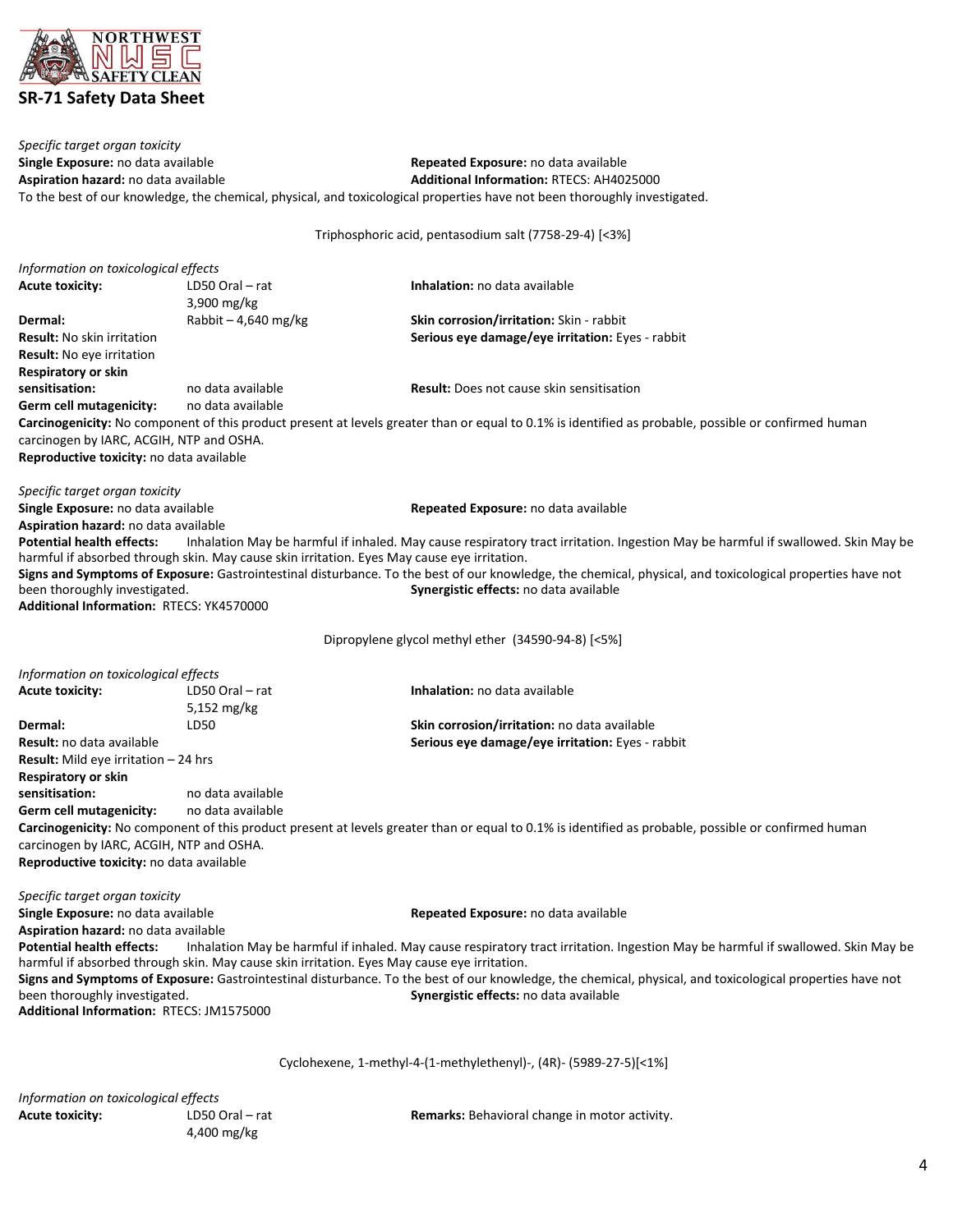

*Specific target organ toxicity* **Single Exposure:** no data available **Repeated Exposure:** no data available **Aspiration hazard:** no data available **Aspiration:** RTECS: AH402 **Additional Information: RTECS: AH4025000** To the best of our knowledge, the chemical, physical, and toxicological properties have not been thoroughly investigated.

Triphosphoric acid, pentasodium salt (7758-29-4) [<3%]

| Information on toxicological effects         |                                                                                             |                                                                                                                                                            |
|----------------------------------------------|---------------------------------------------------------------------------------------------|------------------------------------------------------------------------------------------------------------------------------------------------------------|
| <b>Acute toxicity:</b>                       | LD50 Oral – rat                                                                             | Inhalation: no data available                                                                                                                              |
|                                              | 3,900 mg/kg                                                                                 |                                                                                                                                                            |
| Dermal:                                      | Rabbit - 4,640 mg/kg                                                                        | Skin corrosion/irritation: Skin - rabbit                                                                                                                   |
| <b>Result:</b> No skin irritation            |                                                                                             | Serious eye damage/eye irritation: Eyes - rabbit                                                                                                           |
| <b>Result:</b> No eye irritation             |                                                                                             |                                                                                                                                                            |
| Respiratory or skin                          |                                                                                             |                                                                                                                                                            |
| sensitisation:                               | no data available                                                                           | <b>Result:</b> Does not cause skin sensitisation                                                                                                           |
| Germ cell mutagenicity:                      | no data available                                                                           |                                                                                                                                                            |
|                                              |                                                                                             | Carcinogenicity: No component of this product present at levels greater than or equal to 0.1% is identified as probable, possible or confirmed human       |
| carcinogen by IARC, ACGIH, NTP and OSHA.     |                                                                                             |                                                                                                                                                            |
| Reproductive toxicity: no data available     |                                                                                             |                                                                                                                                                            |
| Specific target organ toxicity               |                                                                                             |                                                                                                                                                            |
| Single Exposure: no data available           |                                                                                             | Repeated Exposure: no data available                                                                                                                       |
| Aspiration hazard: no data available         |                                                                                             |                                                                                                                                                            |
| <b>Potential health effects:</b>             |                                                                                             | Inhalation May be harmful if inhaled. May cause respiratory tract irritation. Ingestion May be harmful if swallowed. Skin May be                           |
|                                              | harmful if absorbed through skin. May cause skin irritation. Eyes May cause eye irritation. |                                                                                                                                                            |
|                                              |                                                                                             | Signs and Symptoms of Exposure: Gastrointestinal disturbance. To the best of our knowledge, the chemical, physical, and toxicological properties have not  |
| been thoroughly investigated.                |                                                                                             | Synergistic effects: no data available                                                                                                                     |
| Additional Information: RTECS: YK4570000     |                                                                                             |                                                                                                                                                            |
|                                              |                                                                                             | Dipropylene glycol methyl ether (34590-94-8) [<5%]                                                                                                         |
|                                              |                                                                                             |                                                                                                                                                            |
| Information on toxicological effects         |                                                                                             |                                                                                                                                                            |
| <b>Acute toxicity:</b>                       | LD50 Oral - rat                                                                             | Inhalation: no data available                                                                                                                              |
|                                              | 5,152 mg/kg                                                                                 |                                                                                                                                                            |
| Dermal:                                      | LD50                                                                                        | Skin corrosion/irritation: no data available                                                                                                               |
| <b>Result:</b> no data available             |                                                                                             | Serious eye damage/eye irritation: Eyes - rabbit                                                                                                           |
| <b>Result:</b> Mild eye irritation $-24$ hrs |                                                                                             |                                                                                                                                                            |
| <b>Respiratory or skin</b>                   |                                                                                             |                                                                                                                                                            |
| sensitisation:                               | no data available                                                                           |                                                                                                                                                            |
| Germ cell mutagenicity:                      | no data available                                                                           |                                                                                                                                                            |
|                                              |                                                                                             | Carcinogenicity: No component of this product present at levels greater than or equal to 0.1% is identified as probable, possible or confirmed human       |
| carcinogen by IARC, ACGIH, NTP and OSHA.     |                                                                                             |                                                                                                                                                            |
| Reproductive toxicity: no data available     |                                                                                             |                                                                                                                                                            |
| Specific target organ toxicity               |                                                                                             |                                                                                                                                                            |
| Single Exposure: no data available           |                                                                                             | Repeated Exposure: no data available                                                                                                                       |
| Aspiration hazard: no data available         |                                                                                             |                                                                                                                                                            |
|                                              |                                                                                             | Potential health effects: Inhalation May be harmful if inhaled. May cause respiratory tract irritation. Ingestion May be harmful if swallowed. Skin May be |
|                                              | harmful if absorbed through skin. May cause skin irritation. Eyes May cause eye irritation. |                                                                                                                                                            |
|                                              |                                                                                             | Signs and Symptoms of Exposure: Gastrointestinal disturbance. To the best of our knowledge, the chemical, physical, and toxicological properties have not  |
| been thoroughly investigated.                |                                                                                             | Synergistic effects: no data available                                                                                                                     |
| Additional Information: RTECS: JM1575000     |                                                                                             |                                                                                                                                                            |
|                                              |                                                                                             |                                                                                                                                                            |
|                                              |                                                                                             | Cyclohexene, 1-methyl-4-(1-methylethenyl)-, (4R)- (5989-27-5)[<1%]                                                                                         |
| Information on toxicological effects         |                                                                                             |                                                                                                                                                            |

4,400 mg/kg

Acute toxicity: LD50 Oral – rat **Remarks:** Behavioral change in motor activity.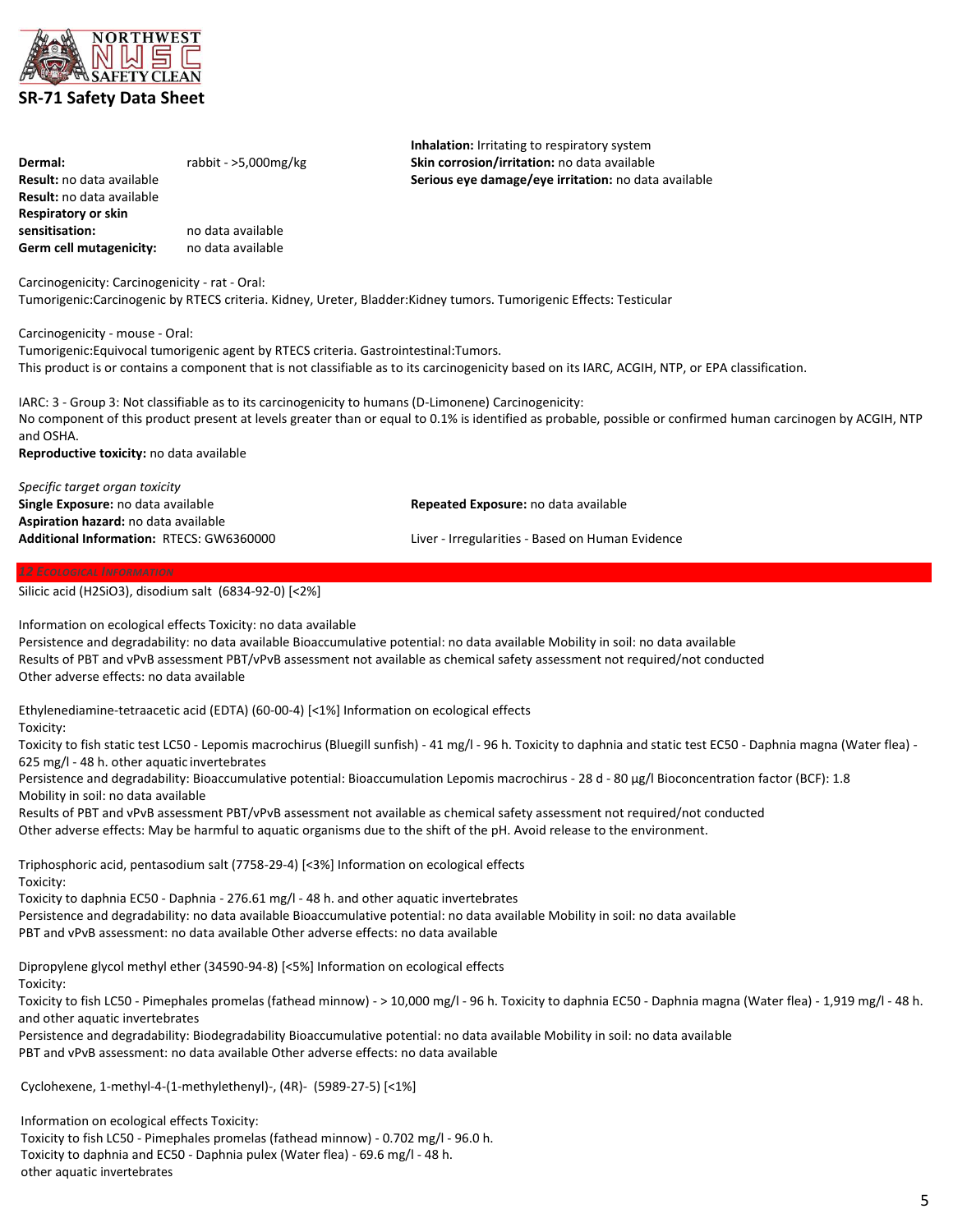

| Dermal:                          | rabbit - $>5,000$ mg/kg | Skin corrosion/irritation: no data available         |
|----------------------------------|-------------------------|------------------------------------------------------|
| <b>Result:</b> no data available |                         | Serious eye damage/eye irritation: no data available |
| <b>Result:</b> no data available |                         |                                                      |
| Respiratory or skin              |                         |                                                      |
| sensitisation:                   | no data available       |                                                      |
| Germ cell mutagenicity:          | no data available       |                                                      |
|                                  |                         |                                                      |
|                                  |                         |                                                      |

Carcinogenicity: Carcinogenicity - rat - Oral: Tumorigenic:Carcinogenic by RTECS criteria. Kidney, Ureter, Bladder:Kidney tumors. Tumorigenic Effects: Testicular

Carcinogenicity - mouse - Oral:

Tumorigenic:Equivocal tumorigenic agent by RTECS criteria. Gastrointestinal:Tumors. This product is or contains a component that is not classifiable as to its carcinogenicity based on its IARC, ACGIH, NTP, or EPA classification.

IARC: 3 - Group 3: Not classifiable as to its carcinogenicity to humans (D-Limonene) Carcinogenicity: No component of this product present at levels greater than or equal to 0.1% is identified as probable, possible or confirmed human carcinogen by ACGIH, NTP and OSHA.

**Inhalation:** Irritating to respiratory system

**Reproductive toxicity:** no data available

| Specific target organ toxicity           |                                                  |
|------------------------------------------|--------------------------------------------------|
| Single Exposure: no data available       | Repeated Exposure: no data available             |
| Aspiration hazard: no data available     |                                                  |
| Additional Information: RTECS: GW6360000 | Liver - Irregularities - Based on Human Evidence |
|                                          |                                                  |

Silicic acid (H2SiO3), disodium salt (6834-92-0) [<2%]

Information on ecological effects Toxicity: no data available

Persistence and degradability: no data available Bioaccumulative potential: no data available Mobility in soil: no data available Results of PBT and vPvB assessment PBT/vPvB assessment not available as chemical safety assessment not required/not conducted Other adverse effects: no data available

Ethylenediamine-tetraacetic acid (EDTA) (60-00-4) [<1%] Information on ecological effects Toxicity:

Toxicity to fish static test LC50 - Lepomis macrochirus (Bluegill sunfish) - 41 mg/l - 96 h. Toxicity to daphnia and static test EC50 - Daphnia magna (Water flea) - 625 mg/l - 48 h. other aquatic invertebrates

Persistence and degradability: Bioaccumulative potential: Bioaccumulation Lepomis macrochirus - 28 d - 80 µg/l Bioconcentration factor (BCF): 1.8 Mobility in soil: no data available

Results of PBT and vPvB assessment PBT/vPvB assessment not available as chemical safety assessment not required/not conducted Other adverse effects: May be harmful to aquatic organisms due to the shift of the pH. Avoid release to the environment.

Triphosphoric acid, pentasodium salt (7758-29-4) [<3%] Information on ecological effects Toxicity:

Toxicity to daphnia EC50 - Daphnia - 276.61 mg/l - 48 h. and other aquatic invertebrates Persistence and degradability: no data available Bioaccumulative potential: no data available Mobility in soil: no data available PBT and vPvB assessment: no data available Other adverse effects: no data available

Dipropylene glycol methyl ether (34590-94-8) [<5%] Information on ecological effects Toxicity:

Toxicity to fish LC50 - Pimephales promelas (fathead minnow) - > 10,000 mg/l - 96 h. Toxicity to daphnia EC50 - Daphnia magna (Water flea) - 1,919 mg/l - 48 h. and other aquatic invertebrates

Persistence and degradability: Biodegradability Bioaccumulative potential: no data available Mobility in soil: no data available PBT and vPvB assessment: no data available Other adverse effects: no data available

Cyclohexene, 1-methyl-4-(1-methylethenyl)-, (4R)- (5989-27-5) [<1%]

Information on ecological effects Toxicity:

Toxicity to fish LC50 - Pimephales promelas (fathead minnow) - 0.702 mg/l - 96.0 h. Toxicity to daphnia and EC50 - Daphnia pulex (Water flea) - 69.6 mg/l - 48 h. other aquatic invertebrates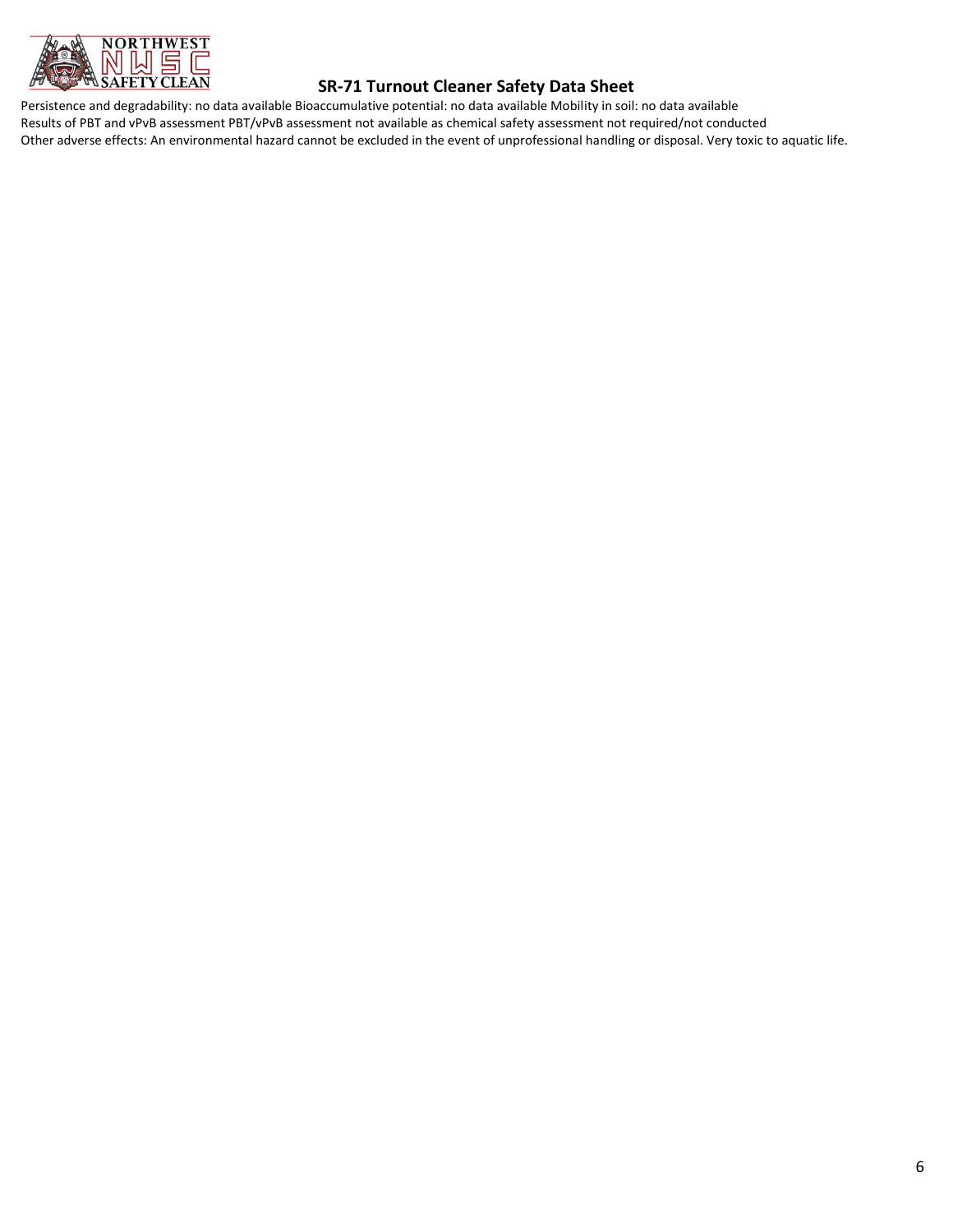

## **SR-71 Turnout Cleaner Safety Data Sheet**

Persistence and degradability: no data available Bioaccumulative potential: no data available Mobility in soil: no data available Results of PBT and vPvB assessment PBT/vPvB assessment not available as chemical safety assessment not required/not conducted Other adverse effects: An environmental hazard cannot be excluded in the event of unprofessional handling or disposal. Very toxic to aquatic life.